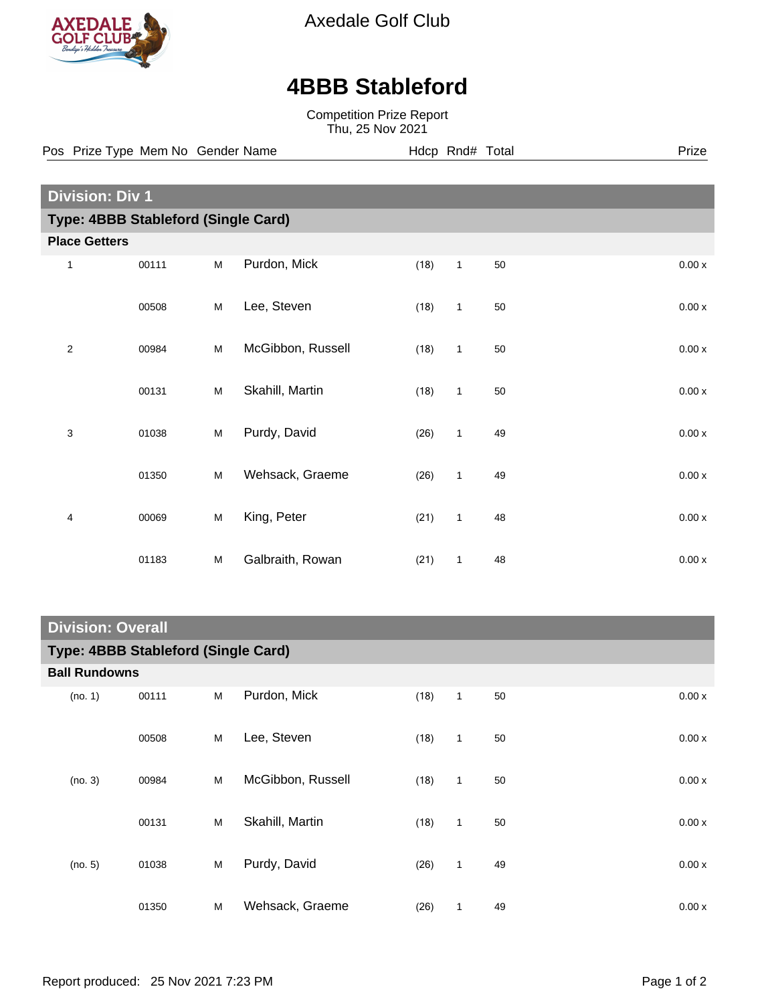

Axedale Golf Club

## **4BBB Stableford**

Competition Prize Report Thu, 25 Nov 2021

**Division: Div 1 Type: 4BBB Stableford (Single Card) Place Getters** 1 00111 M Purdon, Mick (18) 1 50 000 x 0.00 x 00508 M Lee, Steven (18) 1 50 0.00 x 2 00984 M McGibbon, Russell (18) 1 50 0.00 x 00131 M Skahill, Martin (18) 1 50 0.00 x 3 01038 M Purdy, David (26) 1 49 0.00 x 01350 M Wehsack, Graeme (26) 1 49 0.00 x 4 00069 M King, Peter (21) 1 48 0.00 x 01183 M Galbraith, Rowan (21) 1 48 0.00 x Pos Prize Type Mem No Gender Name **Hdcp Rnd# Total** Prize Prize

## **Division: Overall**

| Type: 4BBB Stableford (Single Card) |       |   |                   |      |              |    |  |       |  |  |  |
|-------------------------------------|-------|---|-------------------|------|--------------|----|--|-------|--|--|--|
| <b>Ball Rundowns</b>                |       |   |                   |      |              |    |  |       |  |  |  |
| (no. 1)                             | 00111 | M | Purdon, Mick      | (18) | $\mathbf{1}$ | 50 |  | 0.00x |  |  |  |
|                                     | 00508 | M | Lee, Steven       | (18) | $\mathbf{1}$ | 50 |  | 0.00x |  |  |  |
| (no. 3)                             | 00984 | M | McGibbon, Russell | (18) | $\mathbf{1}$ | 50 |  | 0.00x |  |  |  |
|                                     | 00131 | M | Skahill, Martin   | (18) | $\mathbf{1}$ | 50 |  | 0.00x |  |  |  |
| (no. 5)                             | 01038 | M | Purdy, David      | (26) | $\mathbf{1}$ | 49 |  | 0.00x |  |  |  |
|                                     | 01350 | M | Wehsack, Graeme   | (26) | $\mathbf{1}$ | 49 |  | 0.00x |  |  |  |